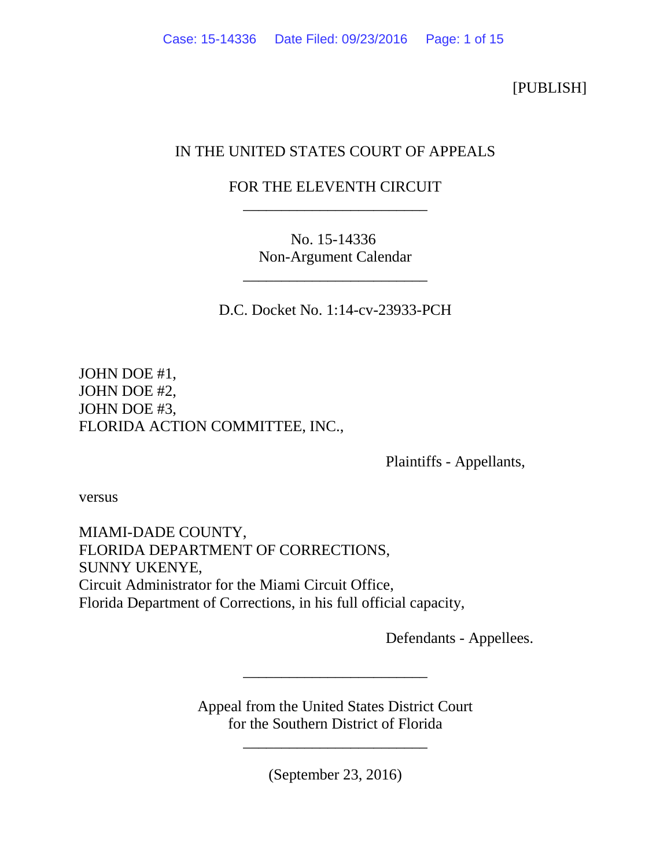[PUBLISH]

## IN THE UNITED STATES COURT OF APPEALS

## FOR THE ELEVENTH CIRCUIT \_\_\_\_\_\_\_\_\_\_\_\_\_\_\_\_\_\_\_\_\_\_\_\_

No. 15-14336 Non-Argument Calendar

\_\_\_\_\_\_\_\_\_\_\_\_\_\_\_\_\_\_\_\_\_\_\_\_

D.C. Docket No. 1:14-cv-23933-PCH

JOHN DOE #1, JOHN DOE #2, JOHN DOE #3, FLORIDA ACTION COMMITTEE, INC.,

Plaintiffs - Appellants,

versus

MIAMI-DADE COUNTY, FLORIDA DEPARTMENT OF CORRECTIONS, SUNNY UKENYE, Circuit Administrator for the Miami Circuit Office, Florida Department of Corrections, in his full official capacity,

Defendants - Appellees.

Appeal from the United States District Court for the Southern District of Florida

\_\_\_\_\_\_\_\_\_\_\_\_\_\_\_\_\_\_\_\_\_\_\_\_

\_\_\_\_\_\_\_\_\_\_\_\_\_\_\_\_\_\_\_\_\_\_\_\_

(September 23, 2016)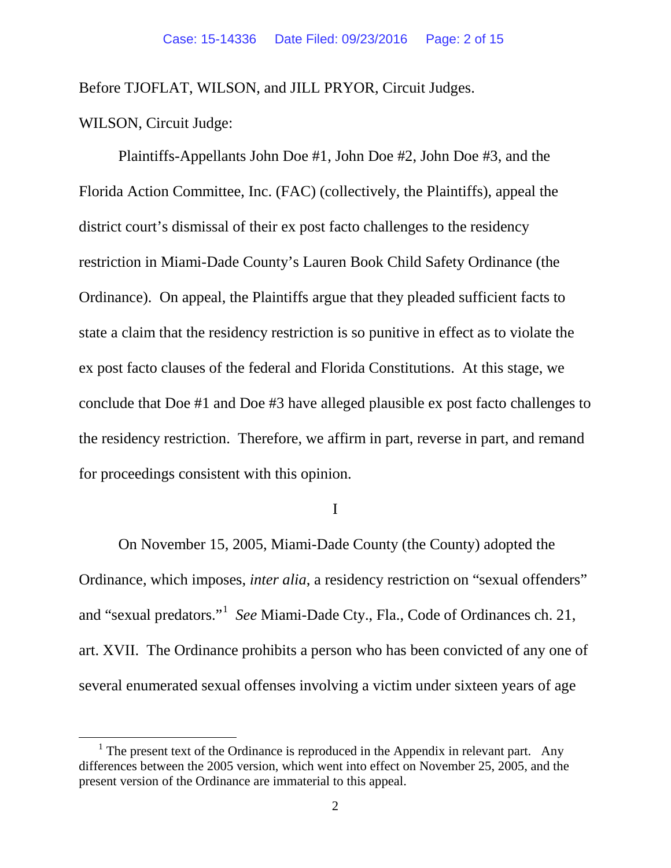Before TJOFLAT, WILSON, and JILL PRYOR, Circuit Judges.

WILSON, Circuit Judge:

Plaintiffs-Appellants John Doe #1, John Doe #2, John Doe #3, and the Florida Action Committee, Inc. (FAC) (collectively, the Plaintiffs), appeal the district court's dismissal of their ex post facto challenges to the residency restriction in Miami-Dade County's Lauren Book Child Safety Ordinance (the Ordinance). On appeal, the Plaintiffs argue that they pleaded sufficient facts to state a claim that the residency restriction is so punitive in effect as to violate the ex post facto clauses of the federal and Florida Constitutions. At this stage, we conclude that Doe #1 and Doe #3 have alleged plausible ex post facto challenges to the residency restriction. Therefore, we affirm in part, reverse in part, and remand for proceedings consistent with this opinion.

I

On November 15, 2005, Miami-Dade County (the County) adopted the Ordinance, which imposes, *inter alia*, a residency restriction on "sexual offenders" and "sexual predators."[1](#page-1-0) *See* Miami-Dade Cty., Fla., Code of Ordinances ch. 21, art. XVII. The Ordinance prohibits a person who has been convicted of any one of several enumerated sexual offenses involving a victim under sixteen years of age

<span id="page-1-0"></span><sup>&</sup>lt;sup>1</sup> The present text of the Ordinance is reproduced in the Appendix in relevant part. Any differences between the 2005 version, which went into effect on November 25, 2005, and the present version of the Ordinance are immaterial to this appeal.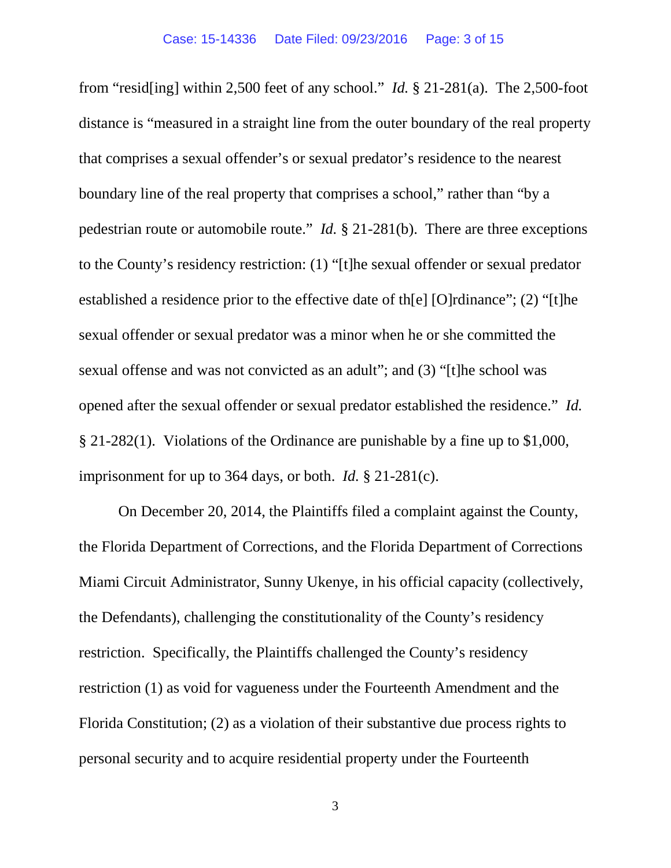from "resid[ing] within 2,500 feet of any school." *Id.* § 21-281(a). The 2,500-foot distance is "measured in a straight line from the outer boundary of the real property that comprises a sexual offender's or sexual predator's residence to the nearest boundary line of the real property that comprises a school," rather than "by a pedestrian route or automobile route." *Id.* § 21-281(b). There are three exceptions to the County's residency restriction: (1) "[t]he sexual offender or sexual predator established a residence prior to the effective date of th[e] [O]rdinance"; (2) "[t]he sexual offender or sexual predator was a minor when he or she committed the sexual offense and was not convicted as an adult"; and (3) "[t]he school was opened after the sexual offender or sexual predator established the residence." *Id.* § 21-282(1). Violations of the Ordinance are punishable by a fine up to \$1,000, imprisonment for up to 364 days, or both. *Id.* § 21-281(c).

On December 20, 2014, the Plaintiffs filed a complaint against the County, the Florida Department of Corrections, and the Florida Department of Corrections Miami Circuit Administrator, Sunny Ukenye, in his official capacity (collectively, the Defendants), challenging the constitutionality of the County's residency restriction. Specifically, the Plaintiffs challenged the County's residency restriction (1) as void for vagueness under the Fourteenth Amendment and the Florida Constitution; (2) as a violation of their substantive due process rights to personal security and to acquire residential property under the Fourteenth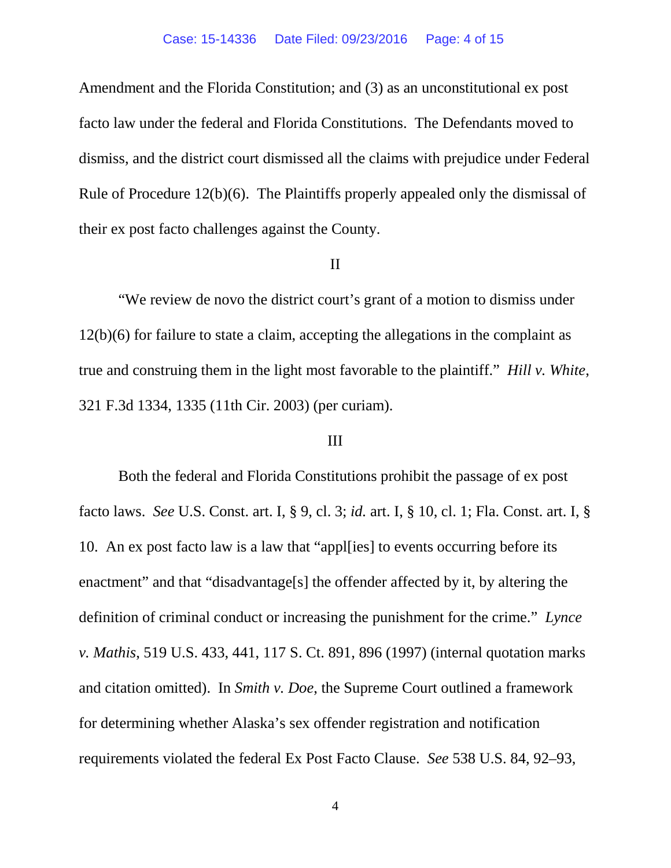Amendment and the Florida Constitution; and (3) as an unconstitutional ex post facto law under the federal and Florida Constitutions. The Defendants moved to dismiss, and the district court dismissed all the claims with prejudice under Federal Rule of Procedure 12(b)(6). The Plaintiffs properly appealed only the dismissal of their ex post facto challenges against the County.

#### II

"We review de novo the district court's grant of a motion to dismiss under 12(b)(6) for failure to state a claim, accepting the allegations in the complaint as true and construing them in the light most favorable to the plaintiff." *Hill v. White*, 321 F.3d 1334, 1335 (11th Cir. 2003) (per curiam).

#### III

Both the federal and Florida Constitutions prohibit the passage of ex post facto laws. *See* U.S. Const. art. I, § 9, cl. 3; *id.* art. I, § 10, cl. 1; Fla. Const. art. I, § 10. An ex post facto law is a law that "appl[ies] to events occurring before its enactment" and that "disadvantage<sup>[s]</sup> the offender affected by it, by altering the definition of criminal conduct or increasing the punishment for the crime." *Lynce v. Mathis*, 519 U.S. 433, 441, 117 S. Ct. 891, 896 (1997) (internal quotation marks and citation omitted). In *Smith v. Doe*, the Supreme Court outlined a framework for determining whether Alaska's sex offender registration and notification requirements violated the federal Ex Post Facto Clause. *See* 538 U.S. 84, 92–93,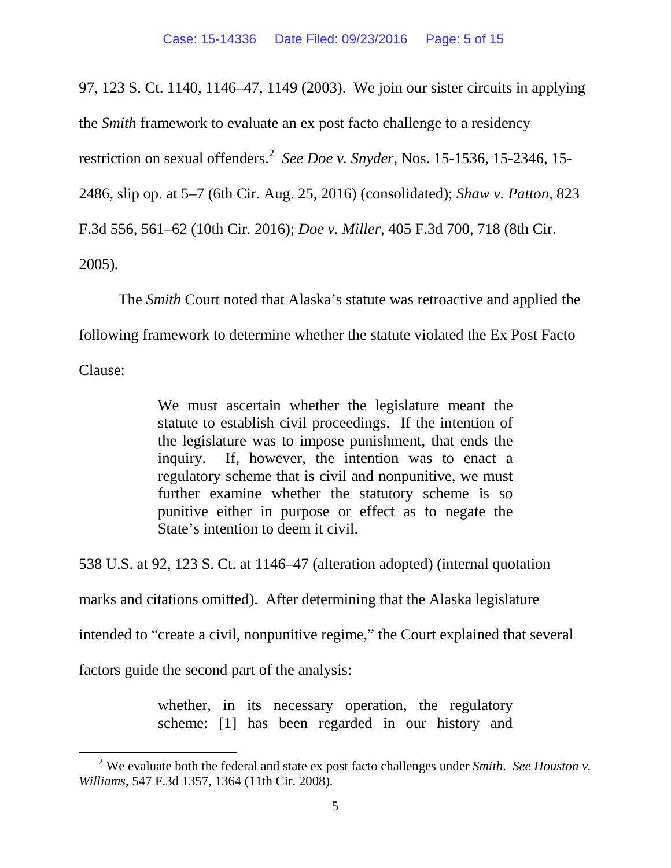97, 123 S. Ct. 1140, 1146–47, 1149 (2003). We join our sister circuits in applying

the *Smith* framework to evaluate an ex post facto challenge to a residency

restriction on sexual offenders. [2](#page-4-0) *See Doe v. Snyder*, Nos. 15-1536, 15-2346, 15-

2486, slip op. at 5–7 (6th Cir. Aug. 25, 2016) (consolidated); *Shaw v. Patton*, 823

F.3d 556, 561–62 (10th Cir. 2016); *Doe v. Miller*, 405 F.3d 700, 718 (8th Cir.

2005)*.*

The *Smith* Court noted that Alaska's statute was retroactive and applied the following framework to determine whether the statute violated the Ex Post Facto

Clause:

We must ascertain whether the legislature meant the statute to establish civil proceedings. If the intention of the legislature was to impose punishment, that ends the inquiry. If, however, the intention was to enact a regulatory scheme that is civil and nonpunitive, we must further examine whether the statutory scheme is so punitive either in purpose or effect as to negate the State's intention to deem it civil.

538 U.S. at 92, 123 S. Ct. at 1146–47 (alteration adopted) (internal quotation

marks and citations omitted). After determining that the Alaska legislature

intended to "create a civil, nonpunitive regime," the Court explained that several

factors guide the second part of the analysis:

whether, in its necessary operation, the regulatory scheme: [1] has been regarded in our history and

<span id="page-4-0"></span> <sup>2</sup> We evaluate both the federal and state ex post facto challenges under *Smith*. *See Houston v. Williams*, 547 F.3d 1357, 1364 (11th Cir. 2008).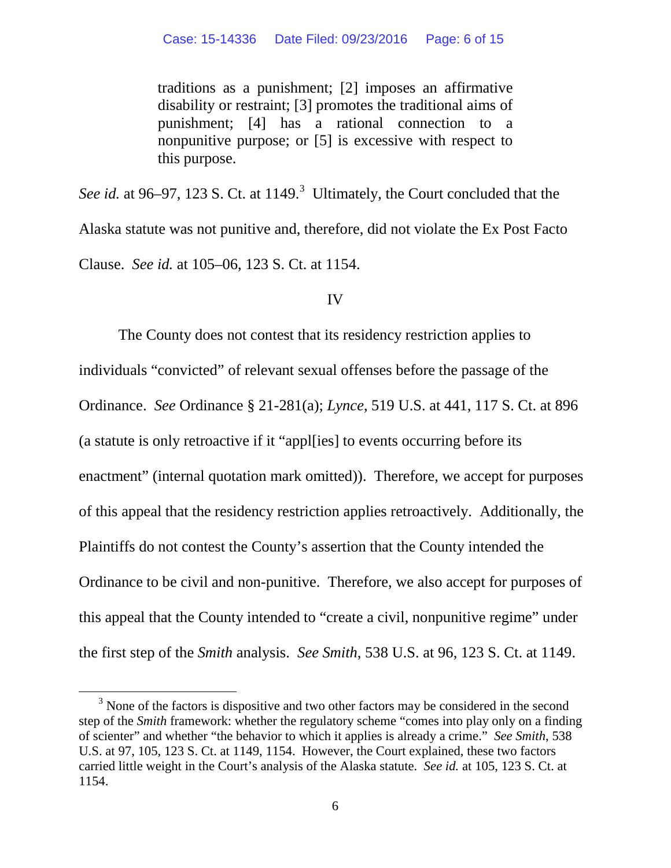traditions as a punishment; [2] imposes an affirmative disability or restraint; [3] promotes the traditional aims of punishment; [4] has a rational connection to a nonpunitive purpose; or [5] is excessive with respect to this purpose.

See id. at 96–97, 12[3](#page-5-0) S. Ct. at 1149.<sup>3</sup> Ultimately, the Court concluded that the Alaska statute was not punitive and, therefore, did not violate the Ex Post Facto Clause. *See id.* at 105–06, 123 S. Ct. at 1154.

#### IV

The County does not contest that its residency restriction applies to individuals "convicted" of relevant sexual offenses before the passage of the Ordinance. *See* Ordinance § 21-281(a); *Lynce*, 519 U.S. at 441, 117 S. Ct. at 896 (a statute is only retroactive if it "appl[ies] to events occurring before its enactment" (internal quotation mark omitted)). Therefore, we accept for purposes of this appeal that the residency restriction applies retroactively. Additionally, the Plaintiffs do not contest the County's assertion that the County intended the Ordinance to be civil and non-punitive. Therefore, we also accept for purposes of this appeal that the County intended to "create a civil, nonpunitive regime" under the first step of the *Smith* analysis. *See Smith*, 538 U.S. at 96, 123 S. Ct. at 1149.

<span id="page-5-0"></span> $3$  None of the factors is dispositive and two other factors may be considered in the second step of the *Smith* framework: whether the regulatory scheme "comes into play only on a finding of scienter" and whether "the behavior to which it applies is already a crime." *See Smith*, 538 U.S. at 97, 105, 123 S. Ct. at 1149, 1154. However, the Court explained, these two factors carried little weight in the Court's analysis of the Alaska statute. *See id.* at 105, 123 S. Ct. at 1154.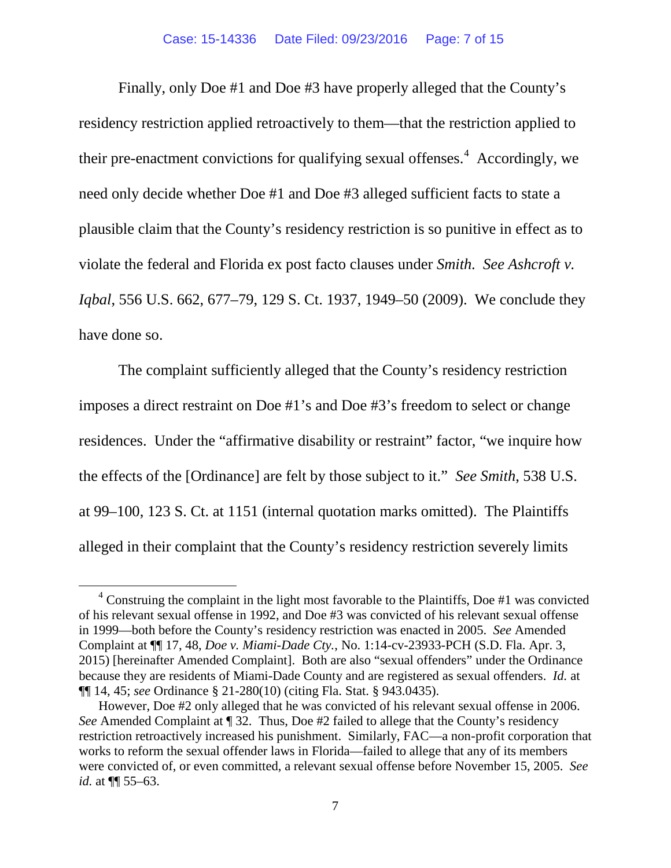Finally, only Doe #1 and Doe #3 have properly alleged that the County's residency restriction applied retroactively to them—that the restriction applied to their pre-enactment convictions for qualifying sexual offenses.<sup>[4](#page-6-0)</sup> Accordingly, we need only decide whether Doe #1 and Doe #3 alleged sufficient facts to state a plausible claim that the County's residency restriction is so punitive in effect as to violate the federal and Florida ex post facto clauses under *Smith*. *See Ashcroft v. Iqbal*, 556 U.S. 662, 677–79, 129 S. Ct. 1937, 1949–50 (2009). We conclude they have done so.

The complaint sufficiently alleged that the County's residency restriction imposes a direct restraint on Doe #1's and Doe #3's freedom to select or change residences. Under the "affirmative disability or restraint" factor, "we inquire how the effects of the [Ordinance] are felt by those subject to it." *See Smith*, 538 U.S. at 99–100, 123 S. Ct. at 1151 (internal quotation marks omitted). The Plaintiffs alleged in their complaint that the County's residency restriction severely limits

<span id="page-6-0"></span> $4$  Construing the complaint in the light most favorable to the Plaintiffs, Doe #1 was convicted of his relevant sexual offense in 1992, and Doe #3 was convicted of his relevant sexual offense in 1999—both before the County's residency restriction was enacted in 2005. *See* Amended Complaint at ¶¶ 17, 48, *Doe v. Miami-Dade Cty.*, No. 1:14-cv-23933-PCH (S.D. Fla. Apr. 3, 2015) [hereinafter Amended Complaint]. Both are also "sexual offenders" under the Ordinance because they are residents of Miami-Dade County and are registered as sexual offenders. *Id.* at ¶¶ 14, 45; *see* Ordinance § 21-280(10) (citing Fla. Stat. § 943.0435).

However, Doe #2 only alleged that he was convicted of his relevant sexual offense in 2006. *See* Amended Complaint at ¶ 32. Thus, Doe #2 failed to allege that the County's residency restriction retroactively increased his punishment. Similarly, FAC—a non-profit corporation that works to reform the sexual offender laws in Florida—failed to allege that any of its members were convicted of, or even committed, a relevant sexual offense before November 15, 2005. *See id.* at ¶¶ 55–63.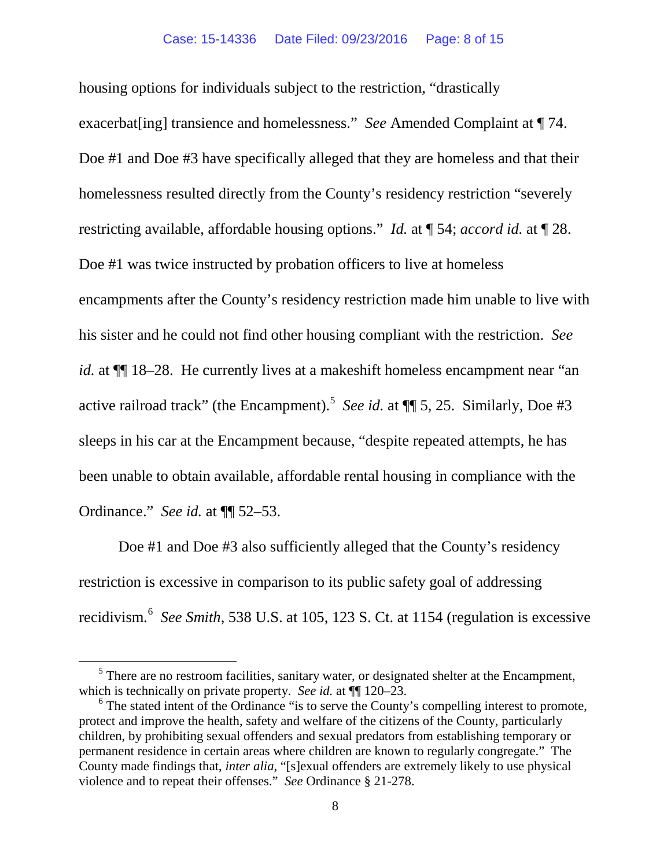housing options for individuals subject to the restriction, "drastically exacerbat[ing] transience and homelessness." *See* Amended Complaint at ¶ 74. Doe #1 and Doe #3 have specifically alleged that they are homeless and that their homelessness resulted directly from the County's residency restriction "severely restricting available, affordable housing options."*Id.* at ¶ 54; *accord id.* at ¶ 28. Doe #1 was twice instructed by probation officers to live at homeless encampments after the County's residency restriction made him unable to live with his sister and he could not find other housing compliant with the restriction. *See id.* at ¶¶ 18–28.He currently lives at a makeshift homeless encampment near "an active railroad track" (the Encampment).[5](#page-7-0) *See id.* at ¶¶ 5, 25.Similarly, Doe #3 sleeps in his car at the Encampment because, "despite repeated attempts, he has been unable to obtain available, affordable rental housing in compliance with the Ordinance." *See id.* at ¶¶ 52–53.

Doe #1 and Doe #3 also sufficiently alleged that the County's residency restriction is excessive in comparison to its public safety goal of addressing recidivism. [6](#page-7-1) *See Smith*, 538 U.S. at 105, 123 S. Ct. at 1154 (regulation is excessive

<span id="page-7-0"></span><sup>&</sup>lt;sup>5</sup> There are no restroom facilities, sanitary water, or designated shelter at the Encampment, which is technically on private property. *See id.* at  $\P$  120–23.<br><sup>6</sup> The stated intent of the Ordinance "is to serve the County's compelling interest to promote,

<span id="page-7-1"></span>protect and improve the health, safety and welfare of the citizens of the County, particularly children, by prohibiting sexual offenders and sexual predators from establishing temporary or permanent residence in certain areas where children are known to regularly congregate." The County made findings that, *inter alia*, "[s]exual offenders are extremely likely to use physical violence and to repeat their offenses." *See* Ordinance § 21-278.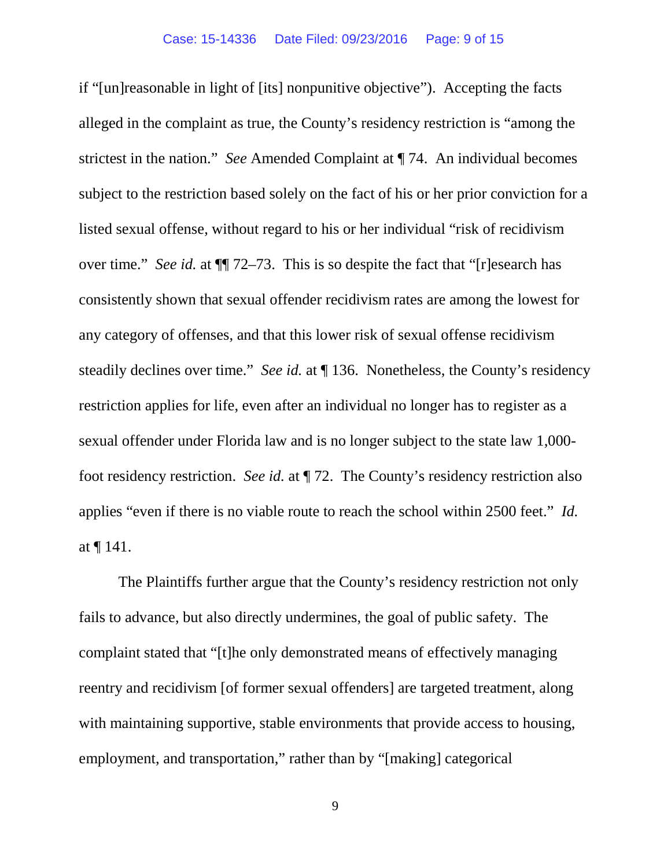if "[un]reasonable in light of [its] nonpunitive objective"). Accepting the facts alleged in the complaint as true, the County's residency restriction is "among the strictest in the nation." *See* Amended Complaint at ¶ 74.An individual becomes subject to the restriction based solely on the fact of his or her prior conviction for a listed sexual offense, without regard to his or her individual "risk of recidivism over time." *See id.* at ¶¶ 72–73. This is so despite the fact that "[r]esearch has consistently shown that sexual offender recidivism rates are among the lowest for any category of offenses, and that this lower risk of sexual offense recidivism steadily declines over time." *See id.* at ¶ 136. Nonetheless, the County's residency restriction applies for life, even after an individual no longer has to register as a sexual offender under Florida law and is no longer subject to the state law 1,000 foot residency restriction. *See id.* at ¶ 72. The County's residency restriction also applies "even if there is no viable route to reach the school within 2500 feet." *Id.* at ¶ 141.

The Plaintiffs further argue that the County's residency restriction not only fails to advance, but also directly undermines, the goal of public safety. The complaint stated that "[t]he only demonstrated means of effectively managing reentry and recidivism [of former sexual offenders] are targeted treatment, along with maintaining supportive, stable environments that provide access to housing, employment, and transportation," rather than by "[making] categorical

9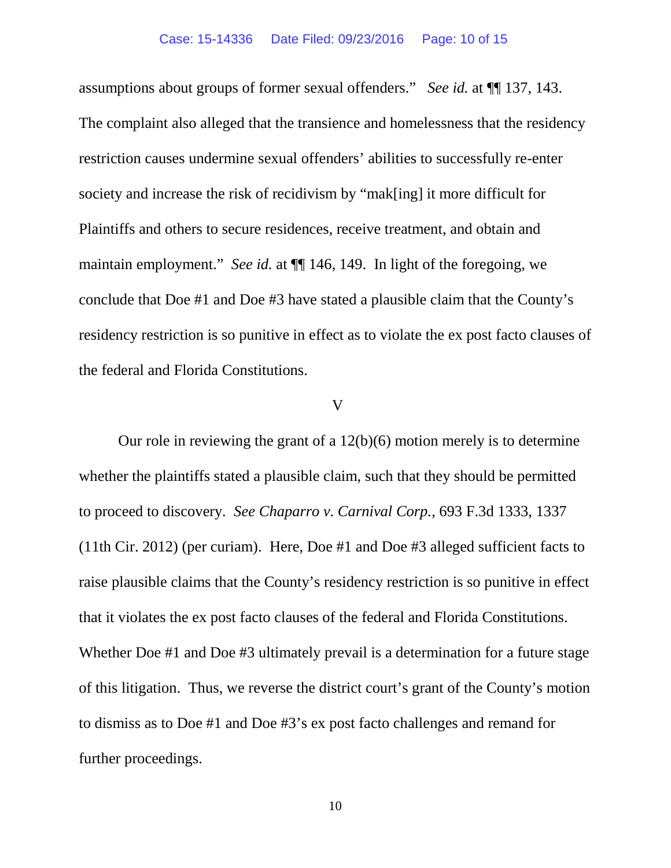assumptions about groups of former sexual offenders." *See id.* at ¶¶ 137, 143. The complaint also alleged that the transience and homelessness that the residency restriction causes undermine sexual offenders' abilities to successfully re-enter society and increase the risk of recidivism by "mak[ing] it more difficult for Plaintiffs and others to secure residences, receive treatment, and obtain and maintain employment." *See id.* at ¶¶ 146, 149. In light of the foregoing, we conclude that Doe #1 and Doe #3 have stated a plausible claim that the County's residency restriction is so punitive in effect as to violate the ex post facto clauses of the federal and Florida Constitutions.

#### V

Our role in reviewing the grant of a 12(b)(6) motion merely is to determine whether the plaintiffs stated a plausible claim, such that they should be permitted to proceed to discovery. *See Chaparro v. Carnival Corp.*, 693 F.3d 1333, 1337 (11th Cir. 2012) (per curiam). Here, Doe #1 and Doe #3 alleged sufficient facts to raise plausible claims that the County's residency restriction is so punitive in effect that it violates the ex post facto clauses of the federal and Florida Constitutions. Whether Doe #1 and Doe #3 ultimately prevail is a determination for a future stage of this litigation. Thus, we reverse the district court's grant of the County's motion to dismiss as to Doe #1 and Doe #3's ex post facto challenges and remand for further proceedings.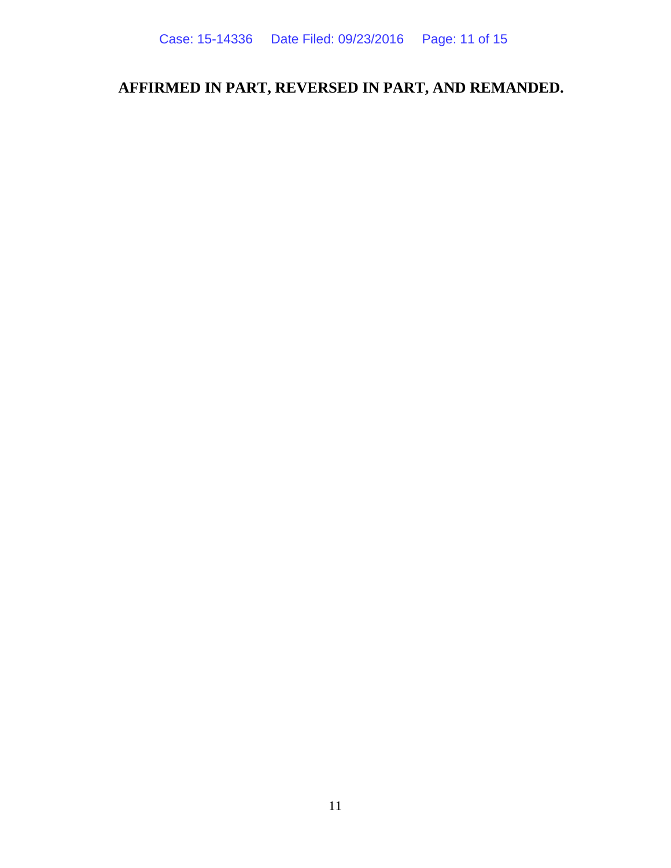# **AFFIRMED IN PART, REVERSED IN PART, AND REMANDED.**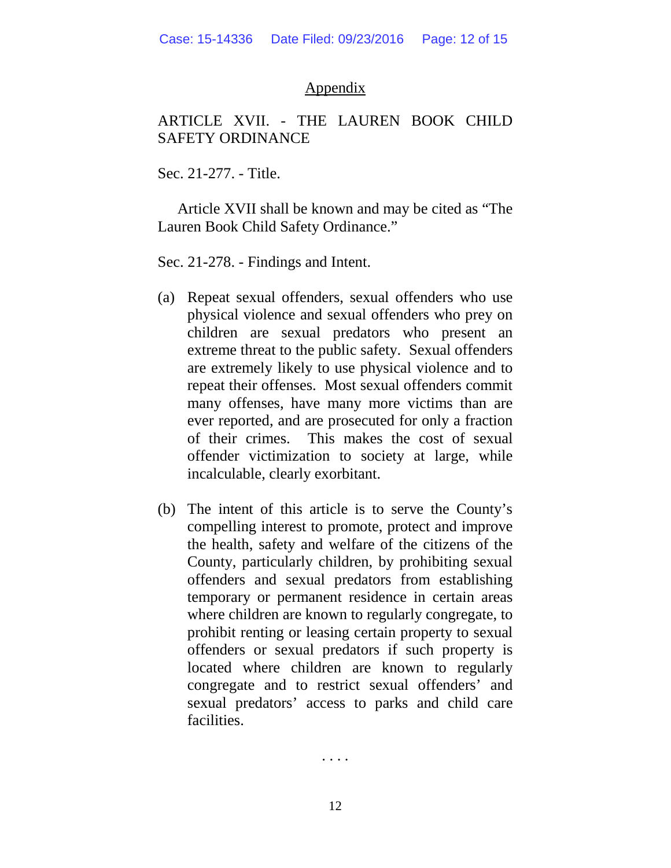#### Appendix

### ARTICLE XVII. - THE LAUREN BOOK CHILD SAFETY ORDINANCE

Sec. 21-277. - Title.

Article XVII shall be known and may be cited as "The Lauren Book Child Safety Ordinance."

Sec. 21-278. - Findings and Intent.

- (a) Repeat sexual offenders, sexual offenders who use physical violence and sexual offenders who prey on children are sexual predators who present an extreme threat to the public safety. Sexual offenders are extremely likely to use physical violence and to repeat their offenses. Most sexual offenders commit many offenses, have many more victims than are ever reported, and are prosecuted for only a fraction of their crimes. This makes the cost of sexual offender victimization to society at large, while incalculable, clearly exorbitant.
- (b) The intent of this article is to serve the County's compelling interest to promote, protect and improve the health, safety and welfare of the citizens of the County, particularly children, by prohibiting sexual offenders and sexual predators from establishing temporary or permanent residence in certain areas where children are known to regularly congregate, to prohibit renting or leasing certain property to sexual offenders or sexual predators if such property is located where children are known to regularly congregate and to restrict sexual offenders' and sexual predators' access to parks and child care facilities.

. . . .

12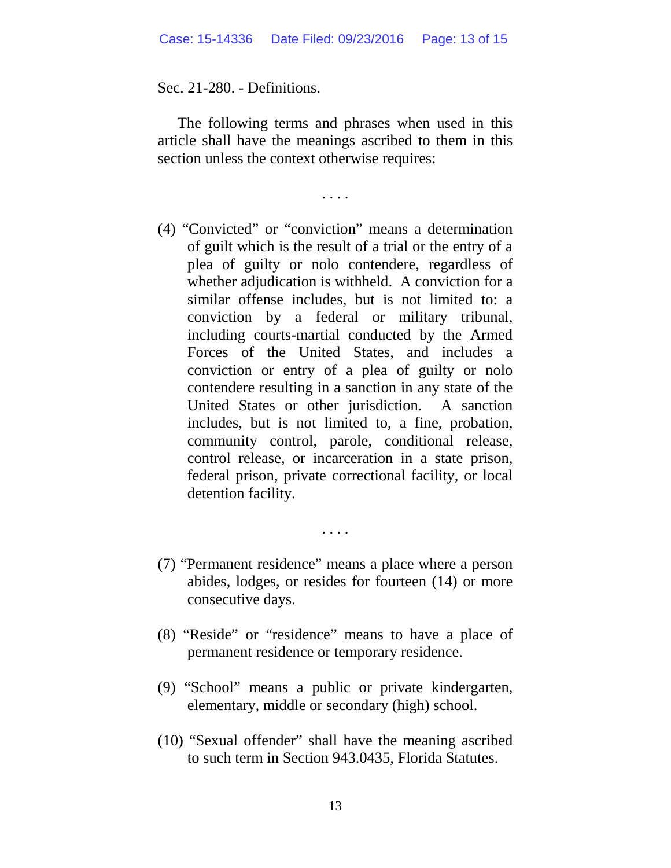Sec. 21-280. - Definitions.

The following terms and phrases when used in this article shall have the meanings ascribed to them in this section unless the context otherwise requires:

. . . .

- (4) "Convicted" or "conviction" means a determination of guilt which is the result of a trial or the entry of a plea of guilty or nolo contendere, regardless of whether adjudication is withheld. A conviction for a similar offense includes, but is not limited to: a conviction by a federal or military tribunal, including courts-martial conducted by the Armed Forces of the United States, and includes a conviction or entry of a plea of guilty or nolo contendere resulting in a sanction in any state of the United States or other jurisdiction. A sanction includes, but is not limited to, a fine, probation, community control, parole, conditional release, control release, or incarceration in a state prison, federal prison, private correctional facility, or local detention facility.
- (7) "Permanent residence" means a place where a person abides, lodges, or resides for fourteen (14) or more consecutive days.

. . . .

- (8) "Reside" or "residence" means to have a place of permanent residence or temporary residence.
- (9) "School" means a public or private kindergarten, elementary, middle or secondary (high) school.
- (10) "Sexual offender" shall have the meaning ascribed to such term in Section 943.0435, Florida Statutes.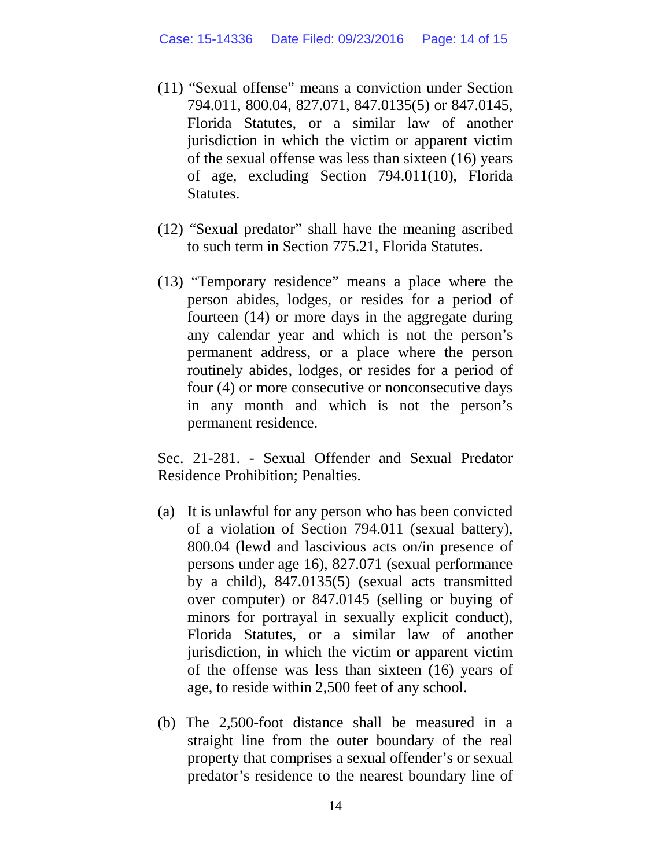- (11) "Sexual offense" means a conviction under Section 794.011, 800.04, 827.071, 847.0135(5) or 847.0145, Florida Statutes, or a similar law of another jurisdiction in which the victim or apparent victim of the sexual offense was less than sixteen (16) years of age, excluding Section 794.011(10), Florida Statutes.
- (12) "Sexual predator" shall have the meaning ascribed to such term in Section 775.21, Florida Statutes.
- (13) "Temporary residence" means a place where the person abides, lodges, or resides for a period of fourteen (14) or more days in the aggregate during any calendar year and which is not the person's permanent address, or a place where the person routinely abides, lodges, or resides for a period of four (4) or more consecutive or nonconsecutive days in any month and which is not the person's permanent residence.

Sec. 21-281. - Sexual Offender and Sexual Predator Residence Prohibition; Penalties.

- (a) It is unlawful for any person who has been convicted of a violation of Section 794.011 (sexual battery), 800.04 (lewd and lascivious acts on/in presence of persons under age 16), 827.071 (sexual performance by a child), 847.0135(5) (sexual acts transmitted over computer) or 847.0145 (selling or buying of minors for portrayal in sexually explicit conduct), Florida Statutes, or a similar law of another jurisdiction, in which the victim or apparent victim of the offense was less than sixteen (16) years of age, to reside within 2,500 feet of any school.
- (b) The 2,500-foot distance shall be measured in a straight line from the outer boundary of the real property that comprises a sexual offender's or sexual predator's residence to the nearest boundary line of